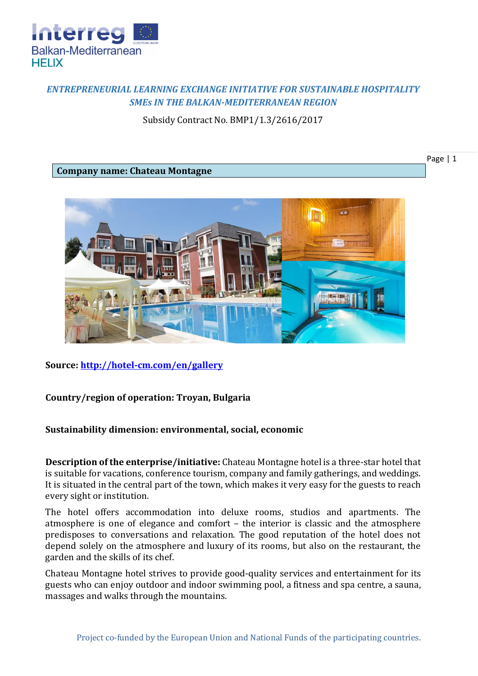

## *ENTREPRENEURIAL LEARNING EXCHANGE INITIATIVE FOR SUSTAINABLE HOSPITALITY SMEs IN THE BALKAN-MEDITERRANEAN REGION*

Subsidy Contract No. BMP1/1.3/2616/2017

Page | 1

## **Company name: Chateau Montagne**



**Source:<http://hotel-cm.com/en/gallery>**

## **Country/region of operation: Troyan, Bulgaria**

## **Sustainability dimension: environmental, social, economic**

**Description of the enterprise/initiative:** Chateau Montagne hotel is a three-star hotel that is suitable for vacations, conference tourism, company and family gatherings, and weddings. It is situated in the central part of the town, which makes it very easy for the guests to reach every sight or institution.

The hotel offers accommodation into deluxe rooms, studios and apartments. The atmosphere is one of elegance and comfort – the interior is classic and the atmosphere predisposes to conversations and relaxation. The good reputation of the hotel does not depend solely on the atmosphere and luxury of its rooms, but also on the restaurant, the garden and the skills of its chef.

Chateau Montagne hotel strives to provide good-quality services and entertainment for its guests who can enjoy outdoor and indoor swimming pool, a fitness and spa centre, a sauna, massages and walks through the mountains.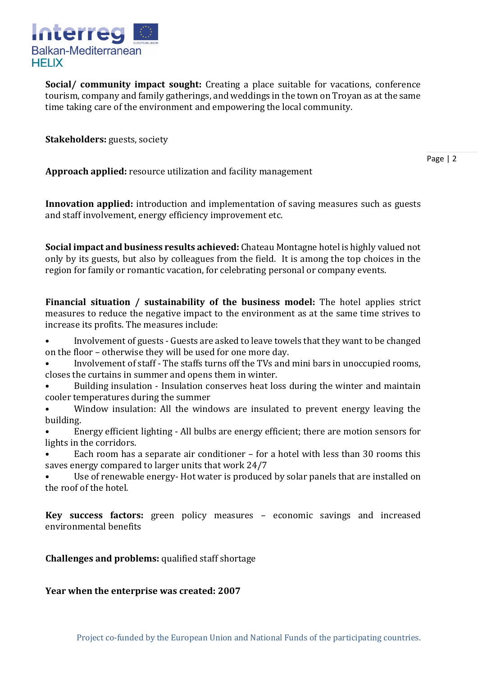

**Social/ community impact sought:** Creating a place suitable for vacations, conference tourism, company and family gatherings, and weddings in the town on Troyan as at the same time taking care of the environment and empowering the local community.

**Stakeholders:** guests, society

Page | 2

**Approach applied:** resource utilization and facility management

**Innovation applied:** introduction and implementation of saving measures such as guests and staff involvement, energy efficiency improvement etc.

**Social impact and business results achieved:** Chateau Montagne hotel is highly valued not only by its guests, but also by colleagues from the field. It is among the top choices in the region for family or romantic vacation, for celebrating personal or company events.

**Financial situation / sustainability of the business model:** The hotel applies strict measures to reduce the negative impact to the environment as at the same time strives to increase its profits. The measures include:

• Involvement of guests - Guests are asked to leave towels that they want to be changed on the floor – otherwise they will be used for one more day.

• Involvement of staff - The staffs turns off the TVs and mini bars in unoccupied rooms, closes the curtains in summer and opens them in winter.

• Building insulation - Insulation conserves heat loss during the winter and maintain cooler temperatures during the summer

• Window insulation: All the windows are insulated to prevent energy leaving the building.

• Energy efficient lighting - All bulbs are energy efficient; there are motion sensors for lights in the corridors.

• Each room has a separate air conditioner – for a hotel with less than 30 rooms this saves energy compared to larger units that work 24/7

• Use of renewable energy- Hot water is produced by solar panels that are installed on the roof of the hotel.

**Key success factors:** green policy measures – economic savings and increased environmental benefits

**Challenges and problems:** qualified staff shortage

**Year when the enterprise was created: 2007**